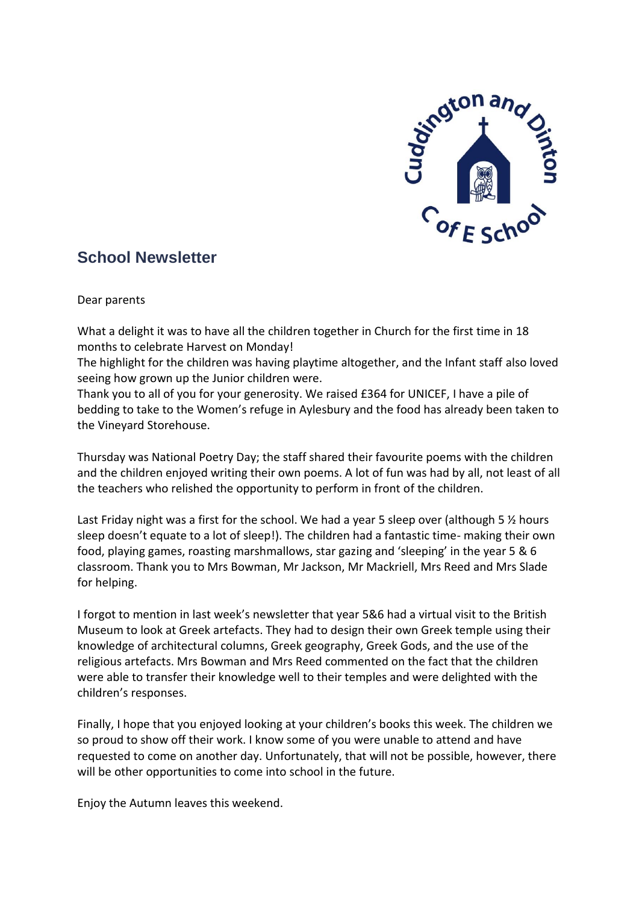

# **School Newsletter**

Dear parents

What a delight it was to have all the children together in Church for the first time in 18 months to celebrate Harvest on Monday!

The highlight for the children was having playtime altogether, and the Infant staff also loved seeing how grown up the Junior children were.

Thank you to all of you for your generosity. We raised £364 for UNICEF, I have a pile of bedding to take to the Women's refuge in Aylesbury and the food has already been taken to the Vineyard Storehouse.

Thursday was National Poetry Day; the staff shared their favourite poems with the children and the children enjoyed writing their own poems. A lot of fun was had by all, not least of all the teachers who relished the opportunity to perform in front of the children.

Last Friday night was a first for the school. We had a year 5 sleep over (although 5 % hours sleep doesn't equate to a lot of sleep!). The children had a fantastic time- making their own food, playing games, roasting marshmallows, star gazing and 'sleeping' in the year 5 & 6 classroom. Thank you to Mrs Bowman, Mr Jackson, Mr Mackriell, Mrs Reed and Mrs Slade for helping.

I forgot to mention in last week's newsletter that year 5&6 had a virtual visit to the British Museum to look at Greek artefacts. They had to design their own Greek temple using their knowledge of architectural columns, Greek geography, Greek Gods, and the use of the religious artefacts. Mrs Bowman and Mrs Reed commented on the fact that the children were able to transfer their knowledge well to their temples and were delighted with the children's responses.

Finally, I hope that you enjoyed looking at your children's books this week. The children we so proud to show off their work. I know some of you were unable to attend and have requested to come on another day. Unfortunately, that will not be possible, however, there will be other opportunities to come into school in the future.

Enjoy the Autumn leaves this weekend.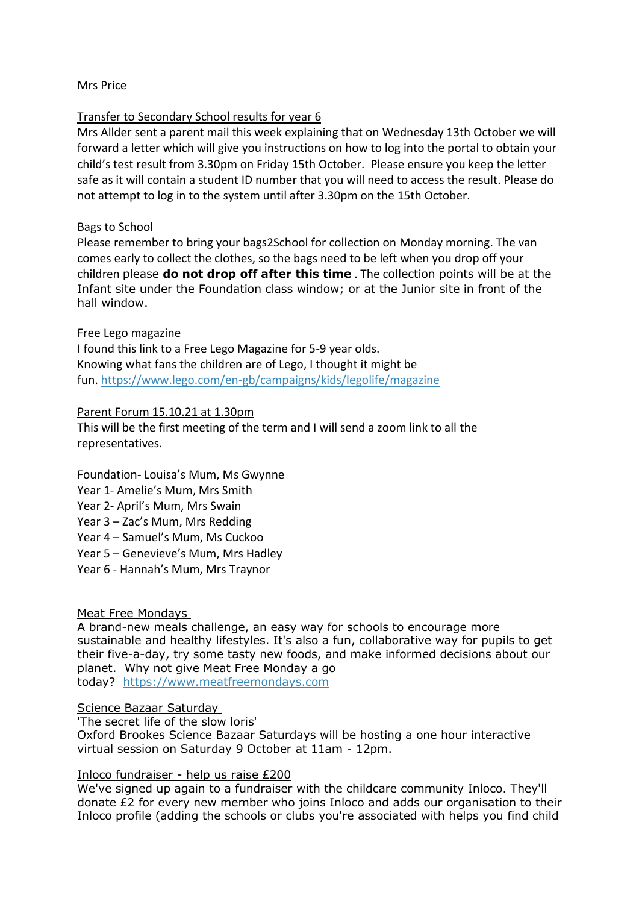## Mrs Price

## Transfer to Secondary School results for year 6

Mrs Allder sent a parent mail this week explaining that on Wednesday 13th October we will forward a letter which will give you instructions on how to log into the portal to obtain your child's test result from 3.30pm on Friday 15th October. Please ensure you keep the letter safe as it will contain a student ID number that you will need to access the result. Please do not attempt to log in to the system until after 3.30pm on the 15th October.

## Bags to School

Please remember to bring your bags2School for collection on Monday morning. The van comes early to collect the clothes, so the bags need to be left when you drop off your children please **do not drop off after this time** . The collection points will be at the Infant site under the Foundation class window; or at the Junior site in front of the hall window.

## Free Lego magazine

I found this link to a Free Lego Magazine for 5-9 year olds. Knowing what fans the children are of Lego, I thought it might be fun. <https://www.lego.com/en-gb/campaigns/kids/legolife/magazine>

## Parent Forum 15.10.21 at 1.30pm

This will be the first meeting of the term and I will send a zoom link to all the representatives.

Foundation- Louisa's Mum, Ms Gwynne Year 1- Amelie's Mum, Mrs Smith Year 2- April's Mum, Mrs Swain Year 3 – Zac's Mum, Mrs Redding Year 4 – Samuel's Mum, Ms Cuckoo Year 5 – Genevieve's Mum, Mrs Hadley Year 6 - Hannah's Mum, Mrs Traynor

### Meat Free Mondays

A brand-new meals challenge, an easy way for schools to encourage more sustainable and healthy lifestyles. It's also a fun, collaborative way for pupils to get their five-a-day, try some tasty new foods, and make informed decisions about our planet. Why not give Meat Free Monday a go today? [https://www.meatfreemondays.com](https://wwwmeatfreemondays.com/)

### Science Bazaar Saturday

'The secret life of the slow loris'

Oxford Brookes Science Bazaar Saturdays will be hosting a one hour interactive virtual session on Saturday 9 October at 11am - 12pm.

### Inloco fundraiser - help us raise £200

We've signed up again to a fundraiser with the childcare community Inloco. They'll donate £2 for every new member who joins Inloco and adds our organisation to their Inloco profile (adding the schools or clubs you're associated with helps you find child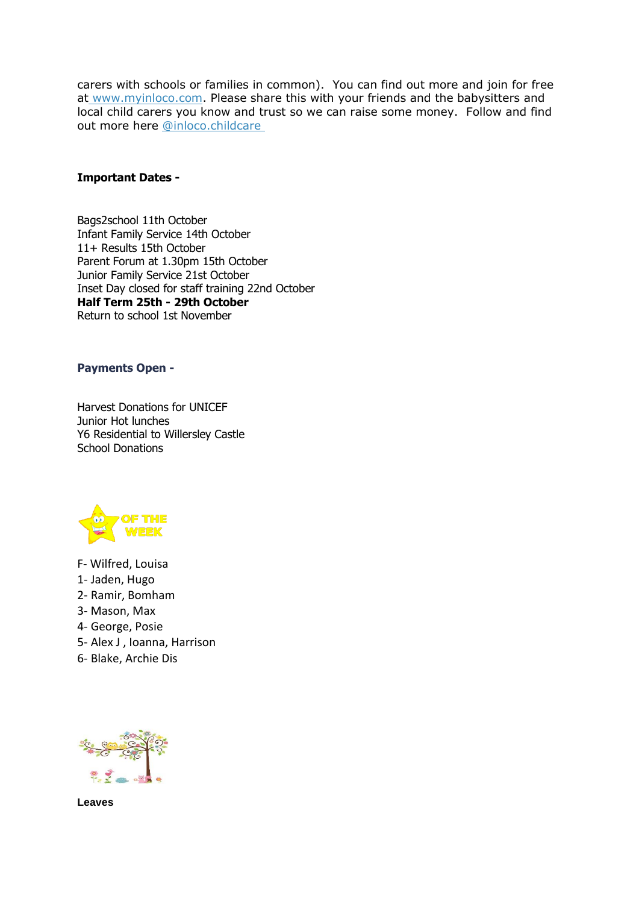carers with schools or families in common). You can find out more and join for free at [www.myinloco.com.](http://www.myinloco.com/) Please share this with your friends and the babysitters and local child carers you know and trust so we can raise some money. Follow and find out more here [@inloco.childcare](http://goog_1826971871/)

### **Important Dates -**

Bags2school 11th October Infant Family Service 14th October 11+ Results 15th October Parent Forum at 1.30pm 15th October Junior Family Service 21st October Inset Day closed for staff training 22nd October **Half Term 25th - 29th October** Return to school 1st November

#### **Payments Open -**

Harvest Donations for UNICEF Junior Hot lunches Y6 Residential to Willersley Castle School Donations



- F- Wilfred, Louisa
- 1- Jaden, Hugo
- 2- Ramir, Bomham
- 3- Mason, Max
- 4- George, Posie
- 5- Alex J , Ioanna, Harrison
- 6- Blake, Archie Dis



**Leaves**